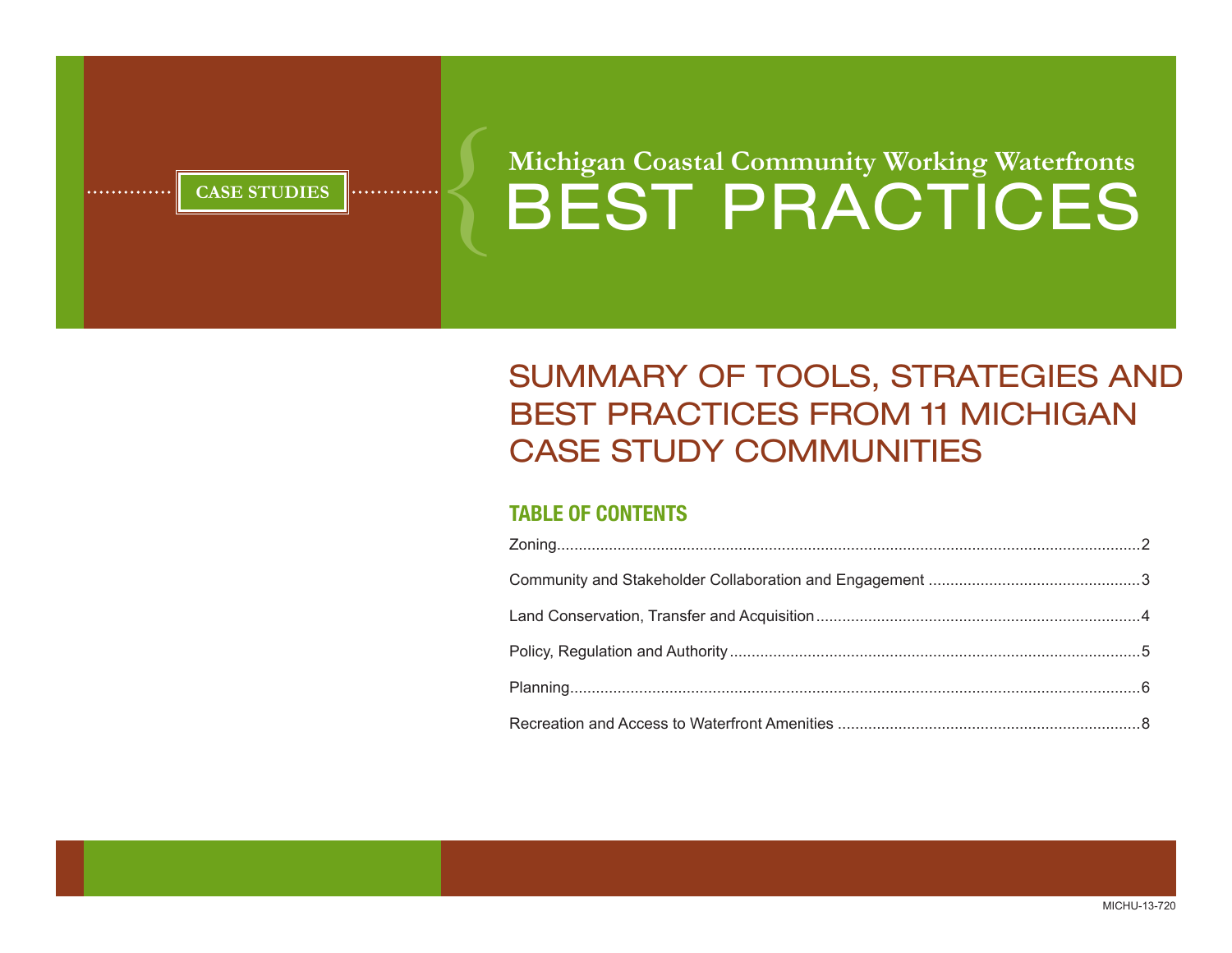**CASE STUDIES BEST PRACTICES Michigan Coastal Community Working Waterfronts** 

# Summary of Tools, Strategies and Best Practices from 11 Michigan Case Study Communities

# **TABLE OF CONTENTS**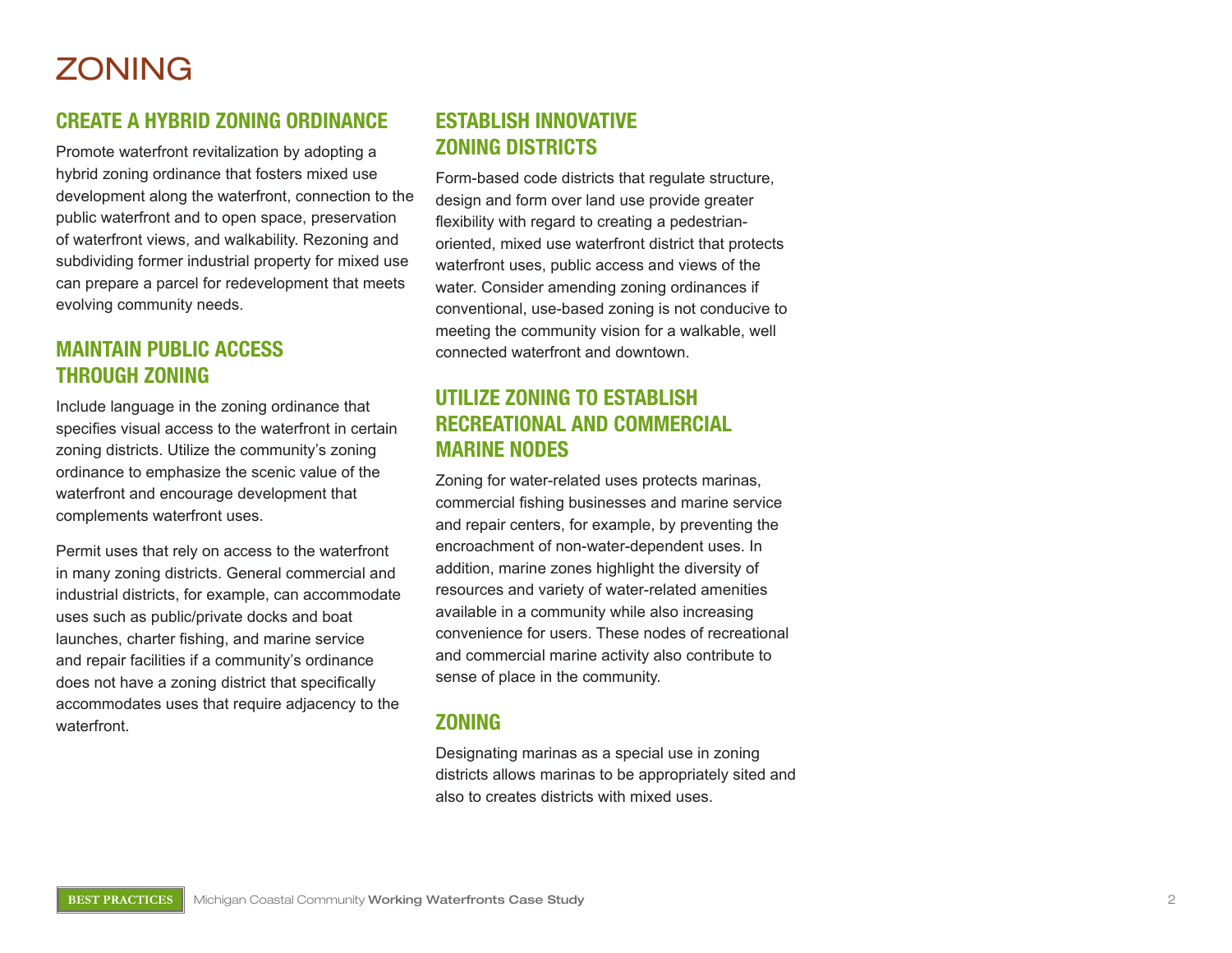# **ZONING**

#### **Create a Hybrid Zoning Ordinan e**  $\overline{\phantom{a}}$

Promote waterfront revitalization by adopting a hybrid zoning ordinance that fosters mixed use development along the waterfront, connection to the public waterfront and to open space, preservation of waterfront views, and walkability. Rezoning and subdividing former industrial property for mixed use can prepare a parcel for redevelopment that meets evolving community needs.

### **Main tain Publi c Access throug h Zoning**

Include language in the zoning ordinance that specifies visual access to the waterfront in certain zoning districts. Utilize the community's zoning ordinance to emphasize the scenic value of the waterfront and encourage development that complements waterfront uses.

Permit uses that rely on access to the waterfront in many zoning districts. General commercial and industrial districts, for example, can accommodate uses such as public/private docks and boat launches, charter fishing, and marine service and repair facilities if a community's ordinance does not have a zoning district that specifically accommodates uses that require adjacency to the waterfront.

#### **ESTABLISH INNOVATIVE h ZONING DISTRICTS**

Form-based code districts that regulate structure, design and form over land use provide greater flexibility with regard to creating a pedestrianoriented, mixed use waterfront district that protects waterfront uses, public access and views of the water. Consider amending zoning ordinances if conventional, use-based zoning is not conducive to meeting the community vision for a walkable, well connected waterfront and downtown.

#### **Utili ze Zoning to E s tablis h RECREATIONAL AND COMMERCIAL Marine Nodes**

Zoning for water-related uses protects marinas, commercial fishing businesses and marine service and repair centers, for example, by preventing the encroachment of non-water-dependent uses. In addition, marine zones highlight the diversity of resources and variety of water-related amenities available in a community while also increasing convenience for users. These nodes of recreational and commercial marine activity also contribute to sense of place in the community.

### **Zoning**

Designating marinas as a special use in zoning districts allows marinas to be appropriately sited and also to creates districts with mixed uses.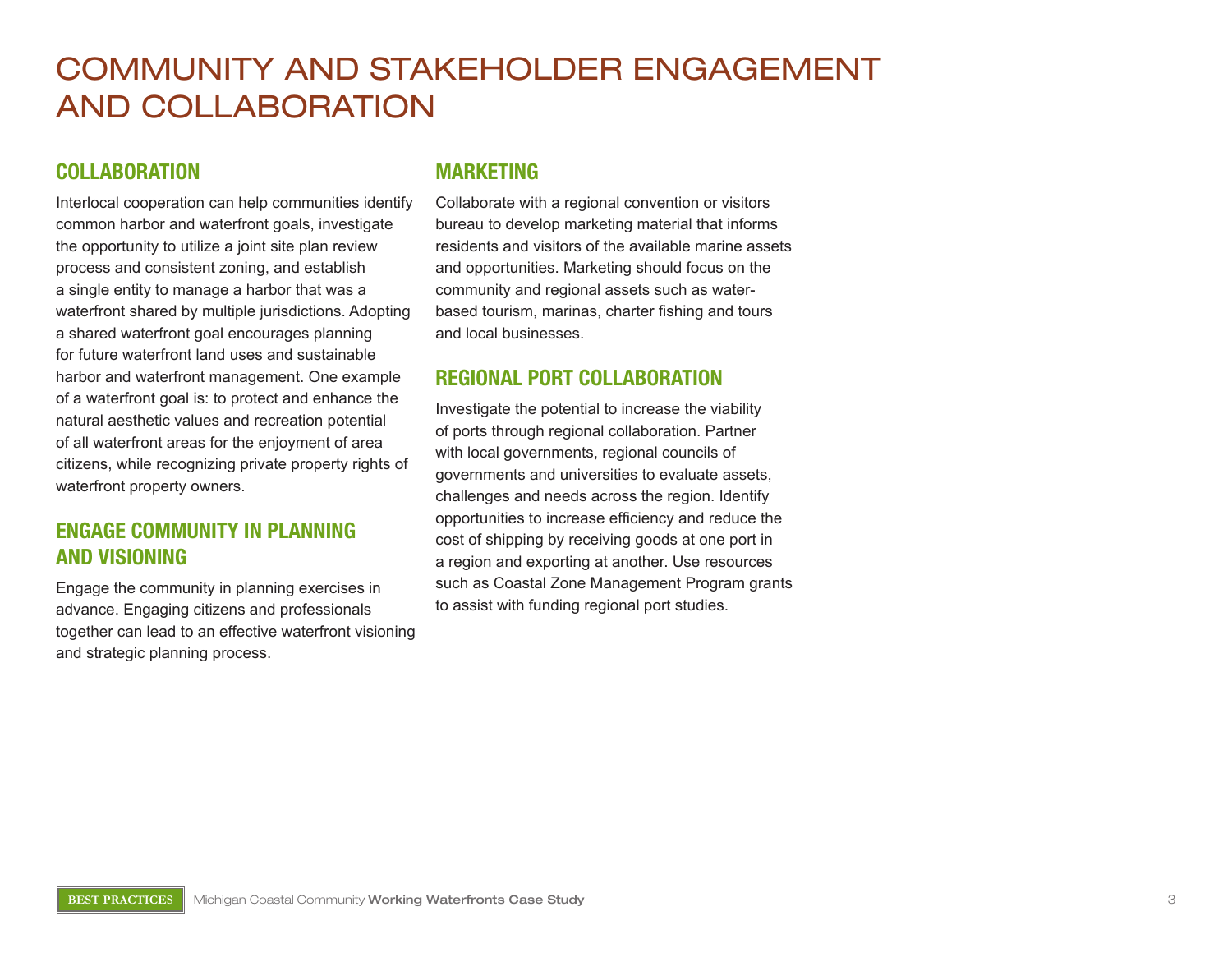# Community and Stakeholder Engagement and Collaboration

### **Collaboration**

Interlocal cooperation can help communities identify common harbor and waterfront goals, investigate the opportunity to utilize a joint site plan review process and consistent zoning, and establish a single entity to manage a harbor that was a waterfront shared by multiple jurisdictions. Adopting a shared waterfront goal encourages planning for future waterfront land uses and sustainable harbor and waterfront management. One example of a waterfront goal is: to protect and enhance the natural aesthetic values and recreation potential of all waterfront areas for the enjoyment of area citizens, while recognizing private property rights of waterfront property owners.

# **Engage Community in Planning and Visioning**

Engage the community in planning exercises in advance. Engaging citizens and professionals together can lead to an effective waterfront visioning and strategic planning process.

#### **Marketing**

Collaborate with a regional convention or visitors bureau to develop marketing material that informs residents and visitors of the available marine assets and opportunities. Marketing should focus on the community and regional assets such as waterbased tourism, marinas, charter fishing and tours and local businesses.

### **Regional Port Collaboration**

Investigate the potential to increase the viability of ports through regional collaboration. Partner with local governments, regional councils of governments and universities to evaluate assets, challenges and needs across the region. Identify opportunities to increase efficiency and reduce the cost of shipping by receiving goods at one port in a region and exporting at another. Use resources such as Coastal Zone Management Program grants to assist with funding regional port studies.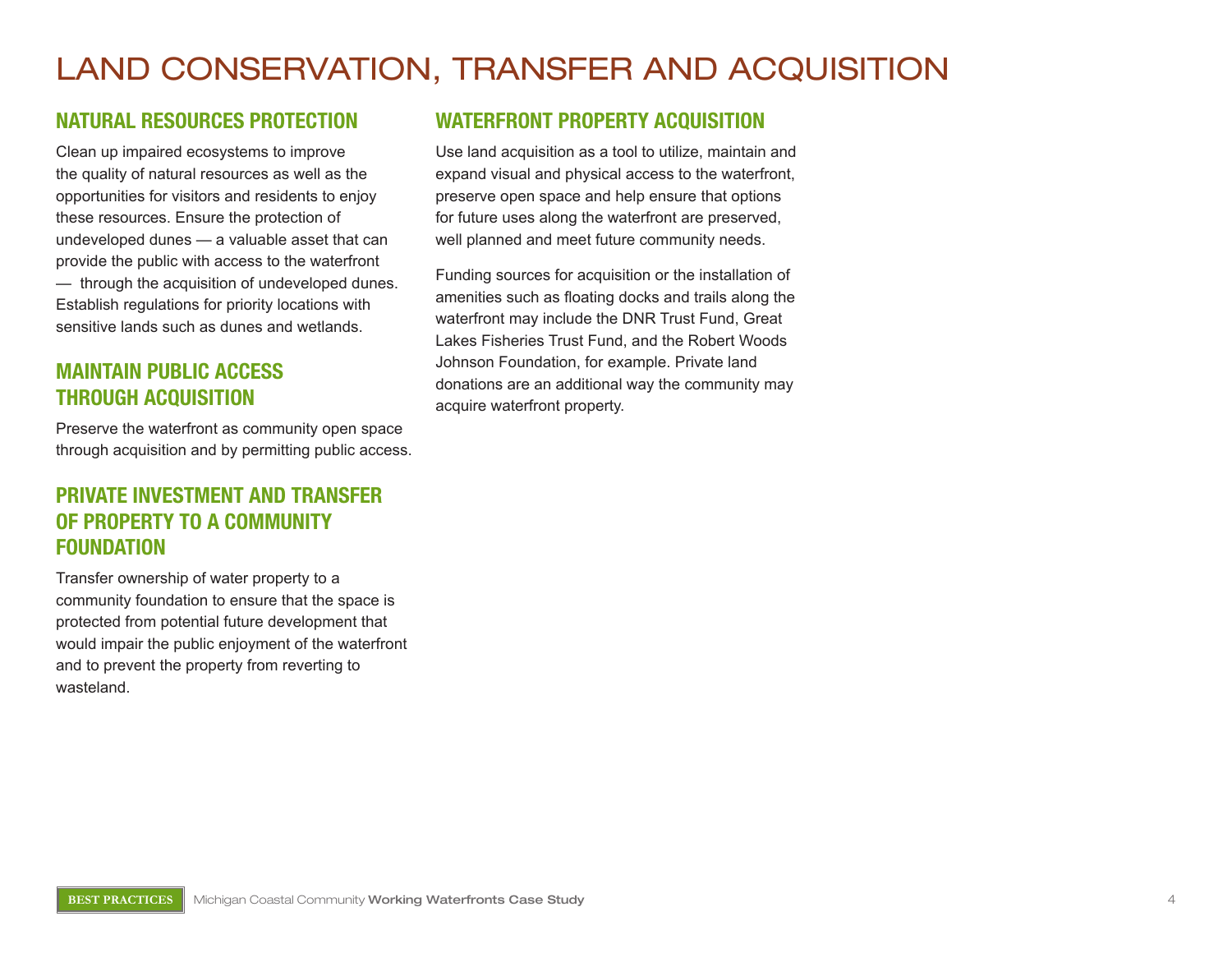# Land Conservation, Transfer and Acquisition

### **Natural Resources Protection**

Clean up impaired ecosystems to improve the quality of natural resources as well as the opportunities for visitors and residents to enjoy these resources. Ensure the protection of undeveloped dunes — a valuable asset that can provide the public with access to the waterfront — through the acquisition of undeveloped dunes. Establish regulations for priority locations with sensitive lands such as dunes and wetlands.

# **Maintain Public Access through Acquisition**

Preserve the waterfront as community open space through acquisition and by permitting public access.

### **Private Investment and Transfer of Property to a Community Foundation**

Transfer ownership of water property to a community foundation to ensure that the space is protected from potential future development that would impair the public enjoyment of the waterfront and to prevent the property from reverting to wasteland.

### **Waterfront Property Acquisition**

Use land acquisition as a tool to utilize, maintain and expand visual and physical access to the waterfront, preserve open space and help ensure that options for future uses along the waterfront are preserved, well planned and meet future community needs.

Funding sources for acquisition or the installation of amenities such as floating docks and trails along the waterfront may include the DNR Trust Fund, Great Lakes Fisheries Trust Fund, and the Robert Woods Johnson Foundation, for example. Private land donations are an additional way the community may acquire waterfront property.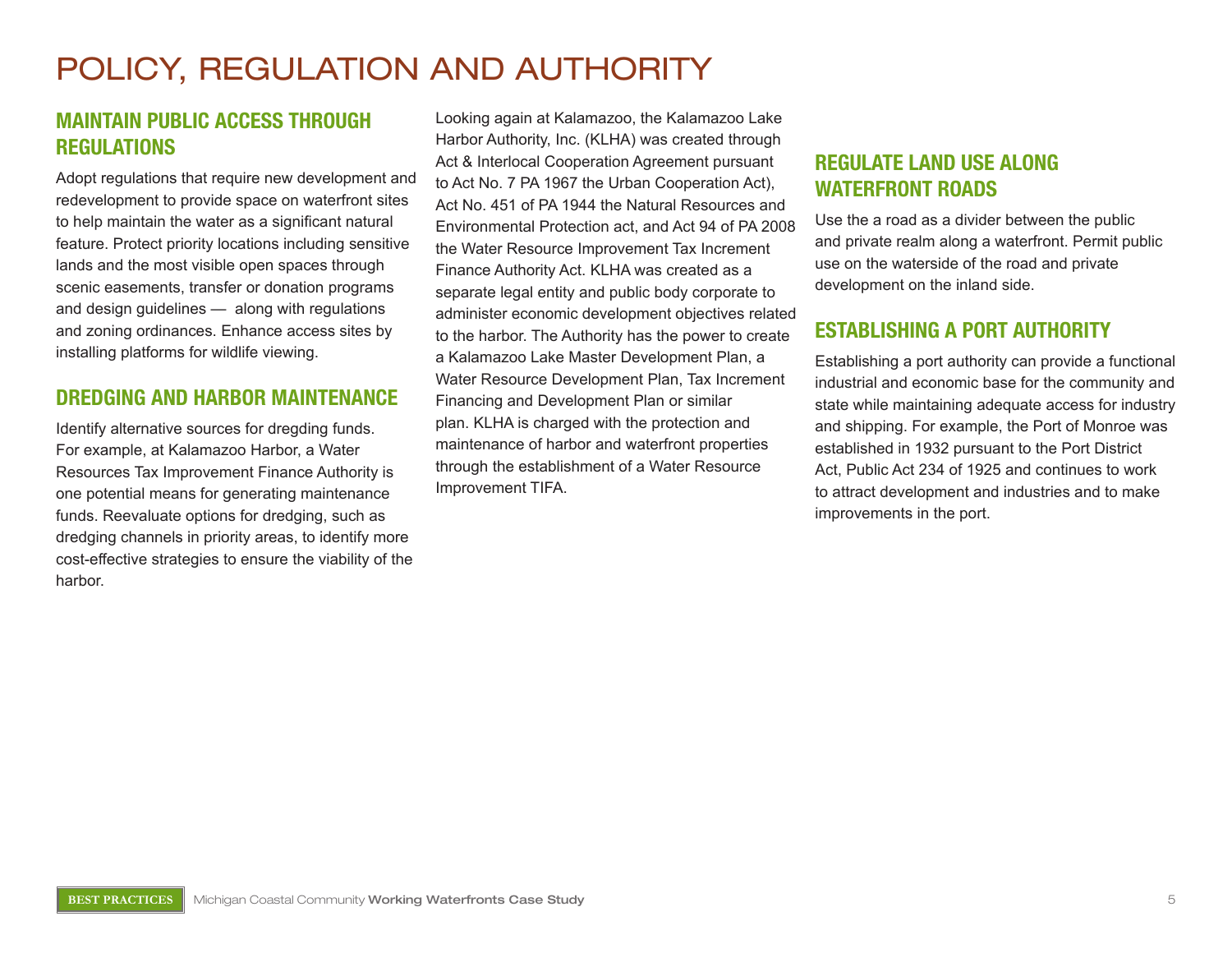# Policy, Regulation and Authority

### **Maintain Public Access through Regulations**

Adopt regulations that require new development and redevelopment to provide space on waterfront sites to help maintain the water as a significant natural feature. Protect priority locations including sensitive lands and the most visible open spaces through scenic easements, transfer or donation programs and design guidelines — along with regulations and zoning ordinances. Enhance access sites by installing platforms for wildlife viewing.

### **Dredging and Harbor Maintenance**

Identify alternative sources for dregding funds. For example, at Kalamazoo Harbor, a Water Resources Tax Improvement Finance Authority is one potential means for generating maintenance funds. Reevaluate options for dredging, such as dredging channels in priority areas, to identify more cost-effective strategies to ensure the viability of the harbor.

Looking again at Kalamazoo, the Kalamazoo Lake Harbor Authority, Inc. (KLHA) was created through Act & Interlocal Cooperation Agreement pursuant to Act No. 7 PA 1967 the Urban Cooperation Act), Act No. 451 of PA 1944 the Natural Resources and Environmental Protection act, and Act 94 of PA 2008 the Water Resource Improvement Tax Increment Finance Authority Act. KLHA was created as a separate legal entity and public body corporate to administer economic development objectives related to the harbor. The Authority has the power to create a Kalamazoo Lake Master Development Plan, a Water Resource Development Plan, Tax Increment Financing and Development Plan or similar plan. KLHA is charged with the protection and maintenance of harbor and waterfront properties through the establishment of a Water Resource Improvement TIFA.

# **Regulate Land Use along Waterfront Roads**

Use the a road as a divider between the public and private realm along a waterfront. Permit public use on the waterside of the road and private development on the inland side.

# **Establishing a Port Authority**

Establishing a port authority can provide a functional industrial and economic base for the community and state while maintaining adequate access for industry and shipping. For example, the Port of Monroe was established in 1932 pursuant to the Port District Act, Public Act 234 of 1925 and continues to work to attract development and industries and to make improvements in the port.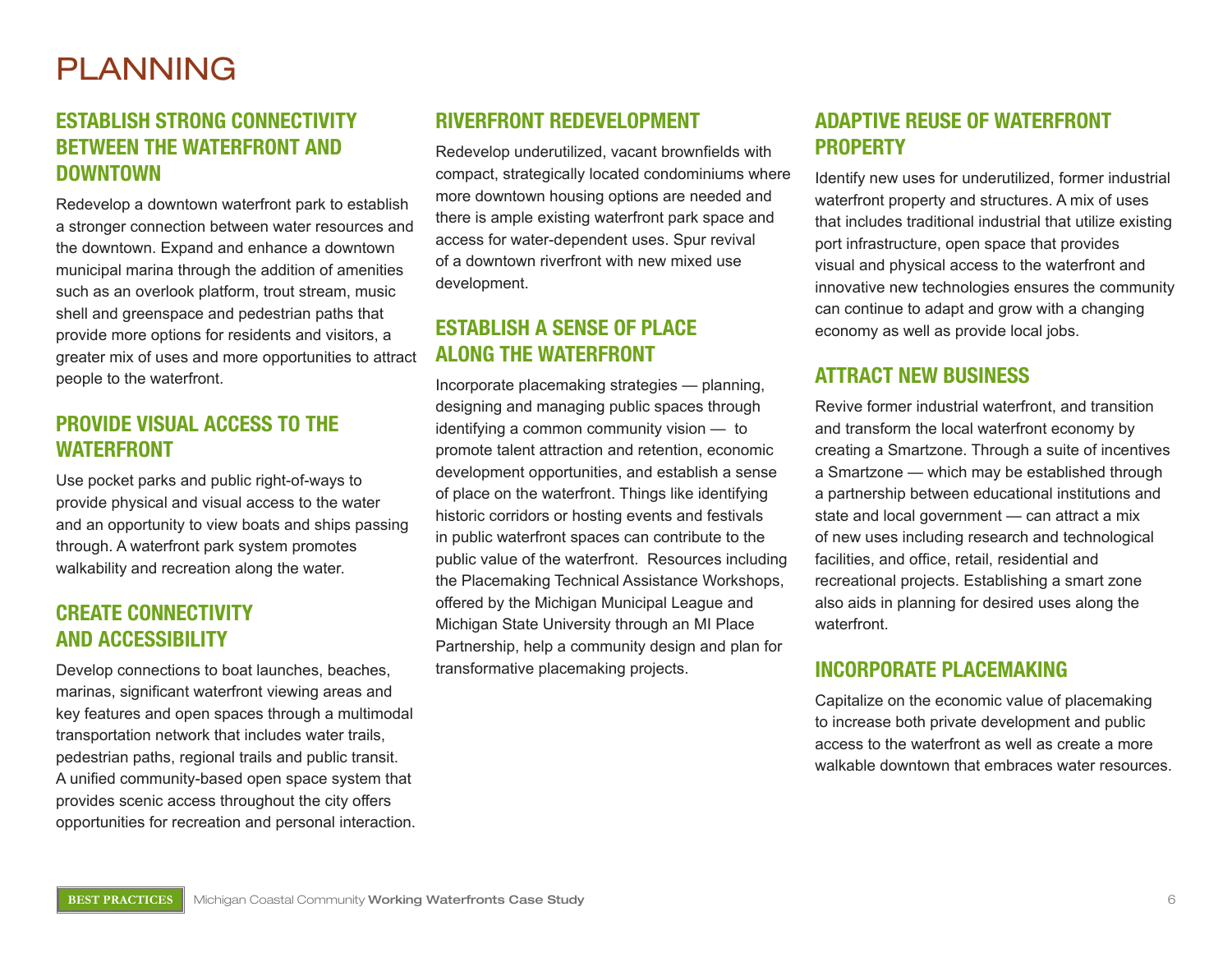# **PLANNING**

# **Establish Strong Connectivity BETWEEN THE WATERFRONT AND Downtown**

Redevelop a downtown waterfront park to establish a stronger connection between water resources and the downtown. Expand and enhance a downtown municipal marina through the addition of amenities such as an overlook platform, trout stream, music shell and greenspace and pedestrian paths that provide more options for residents and visitors, a greater mix of uses and more opportunities to attract people to the waterfront.

### **Provide Visual Access to the Waterfront**

Use pocket parks and public right-of-ways to provide physical and visual access to the water and an opportunity to view boats and ships passing through. A waterfront park system promotes walkability and recreation along the water.

### **Create Connectivity and Accessibility**

Develop connections to boat launches, beaches, marinas, significant waterfront viewing areas and key features and open spaces through a multimodal transportation network that includes water trails, pedestrian paths, regional trails and public transit. A unified community-based open space system that provides scenic access throughout the city offers opportunities for recreation and personal interaction.

# **Riverfront Redevelopment**

Redevelop underutilized, vacant brownfields with compact, strategically located condominiums where more downtown housing options are needed and there is ample existing waterfront park space and access for water-dependent uses. Spur revival of a downtown riverfront with new mixed use development.

# **Establish a Sense of Place along the Waterfront**

Incorporate placemaking strategies — planning, designing and managing public spaces through identifying a common community vision — to promote talent attraction and retention, economic development opportunities, and establish a sense of place on the waterfront. Things like identifying historic corridors or hosting events and festivals in public waterfront spaces can contribute to the public value of the waterfront. Resources including the Placemaking Technical Assistance Workshops, offered by the Michigan Municipal League and Michigan State University through an MI Place Partnership, help a community design and plan for transformative placemaking projects.

# **Adaptive Reuse of Waterfront Property**

Identify new uses for underutilized, former industrial waterfront property and structures. A mix of uses that includes traditional industrial that utilize existing port infrastructure, open space that provides visual and physical access to the waterfront and innovative new technologies ensures the community can continue to adapt and grow with a changing economy as well as provide local jobs.

### **Attract New Business**

Revive former industrial waterfront, and transition and transform the local waterfront economy by creating a Smartzone. Through a suite of incentives a Smartzone — which may be established through a partnership between educational institutions and state and local government — can attract a mix of new uses including research and technological facilities, and office, retail, residential and recreational projects. Establishing a smart zone also aids in planning for desired uses along the waterfront.

### **Incorporate Placemaking**

Capitalize on the economic value of placemaking to increase both private development and public access to the waterfront as well as create a more walkable downtown that embraces water resources.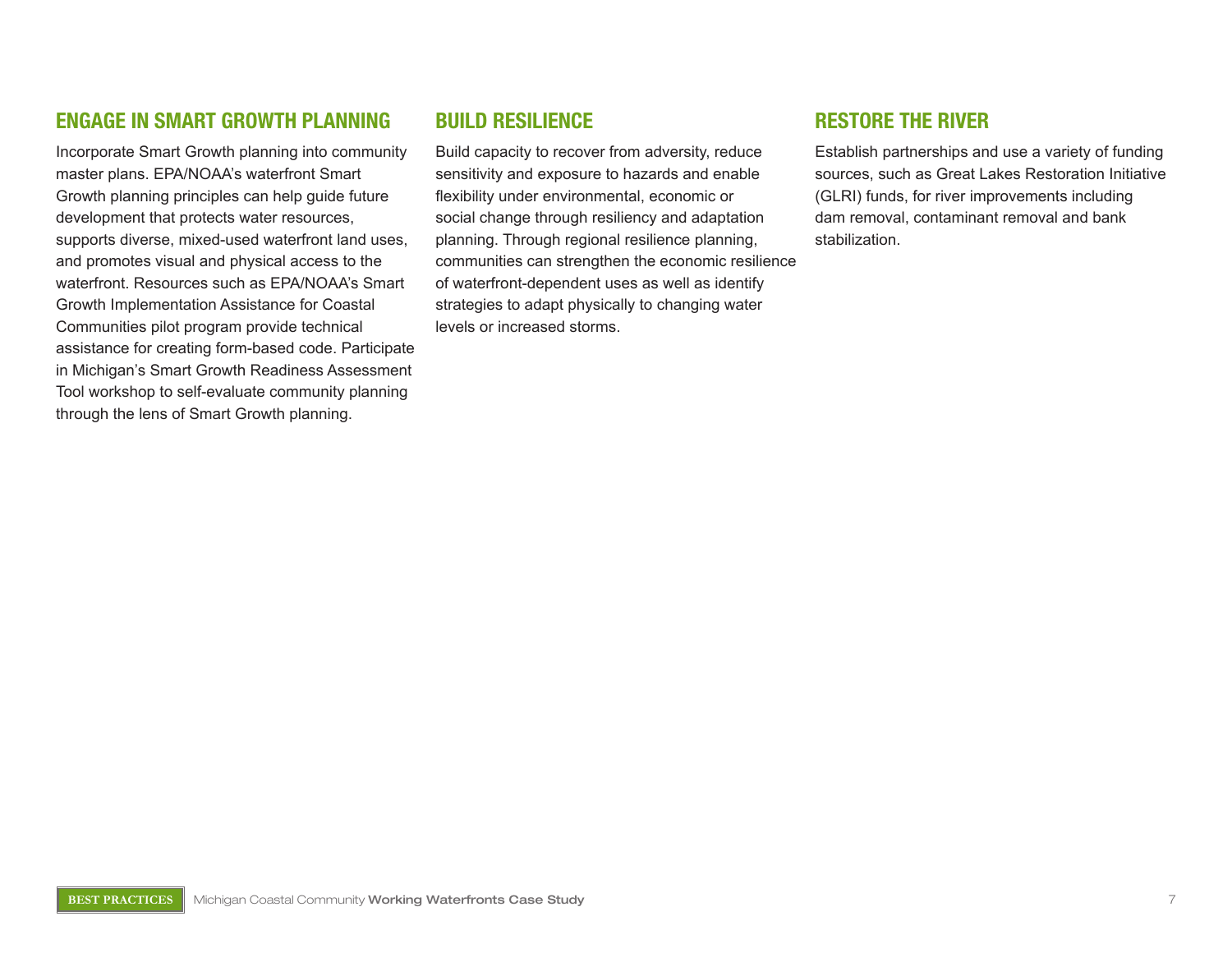### **Engage in Smart Growth Planning**

Incorporate Smart Growth planning into community master plans. EPA/NOAA's waterfront Smart Growth planning principles can help guide future development that protects water resources, supports diverse, mixed-used waterfront land uses, and promotes visual and physical access to the waterfront. Resources such as EPA/NOAA's Smart Growth Implementation Assistance for Coastal Communities pilot program provide technical assistance for creating form-based code. Participate in Michigan's Smart Growth Readiness Assessment Tool workshop to self-evaluate community planning through the lens of Smart Growth planning.

### **Build Resilience**

Build capacity to recover from adversity, reduce sensitivity and exposure to hazards and enable flexibility under environmental, economic or social change through resiliency and adaptation planning. Through regional resilience planning, communities can strengthen the economic resilience of waterfront-dependent uses as well as identify strategies to adapt physically to changing water levels or increased storms.

### **RestorE the River**

Establish partnerships and use a variety of funding sources, such as Great Lakes Restoration Initiative (GLRI) funds, for river improvements including dam removal, contaminant removal and bank stabilization.